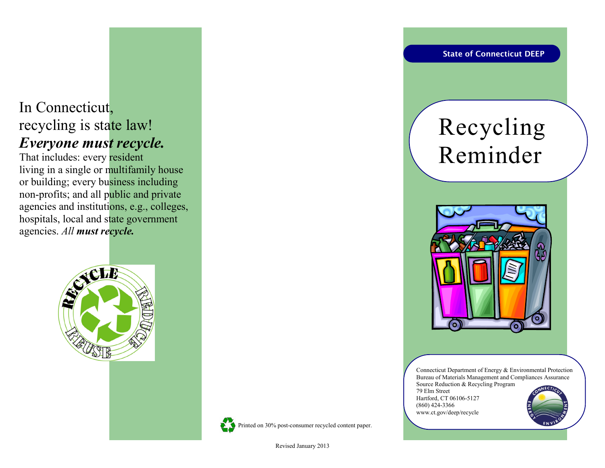## In Connecticut, recycling is state law! *Everyone must recycle.*

That includes: every resident living in a single or multifamily house or building; every business including non-profits; and all public and private agencies and institutions, e.g., colleges, hospitals, local and state government agencies. *All must recycle.*





Revised January 2013

**State of Connecticut DEEP**

# Recycling Reminder



Connecticut Department of Energy & Environmental Protection Bureau of Materials Management and Compliances Assurance Source Reduction & Recycling Program 79 Elm Street Hartford, CT 06106-5127 (860) 424-3366 www.ct.gov/deep/recycle